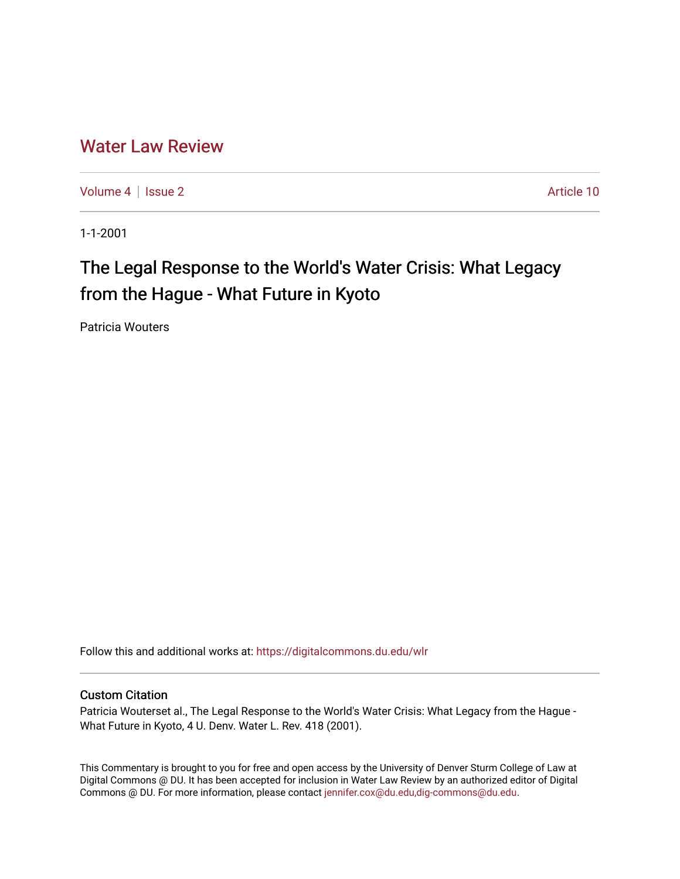## [Water Law Review](https://digitalcommons.du.edu/wlr)

[Volume 4](https://digitalcommons.du.edu/wlr/vol4) | [Issue 2](https://digitalcommons.du.edu/wlr/vol4/iss2) Article 10

1-1-2001

## The Legal Response to the World's Water Crisis: What Legacy from the Hague - What Future in Kyoto

Patricia Wouters

Follow this and additional works at: [https://digitalcommons.du.edu/wlr](https://digitalcommons.du.edu/wlr?utm_source=digitalcommons.du.edu%2Fwlr%2Fvol4%2Fiss2%2F10&utm_medium=PDF&utm_campaign=PDFCoverPages) 

#### Custom Citation

Patricia Wouterset al., The Legal Response to the World's Water Crisis: What Legacy from the Hague - What Future in Kyoto, 4 U. Denv. Water L. Rev. 418 (2001).

This Commentary is brought to you for free and open access by the University of Denver Sturm College of Law at Digital Commons @ DU. It has been accepted for inclusion in Water Law Review by an authorized editor of Digital Commons @ DU. For more information, please contact [jennifer.cox@du.edu,dig-commons@du.edu.](mailto:jennifer.cox@du.edu,dig-commons@du.edu)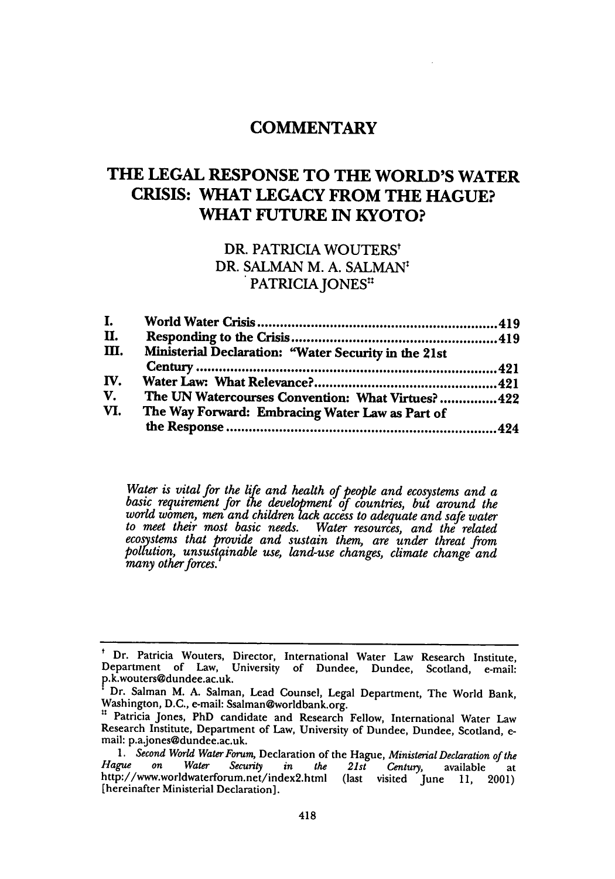## **COMMENTARY**

## **THE LEGAL RESPONSE TO THE WORLD'S WATER CRISIS: WHAT LEGACY FROM THE HAGUE? WHAT FUTURE IN KYOTO?**

# **DR.** PATRICIA WOUTERS' DR. SALMAN M. A. SALMAN<sup>t</sup><br>PATRICIA JONES<sup>tt</sup>

| L.   |                                                      |  |
|------|------------------------------------------------------|--|
| П.   |                                                      |  |
| III. | Ministerial Declaration: "Water Security in the 21st |  |
|      |                                                      |  |
| IV.  |                                                      |  |
| V.   | The UN Watercourses Convention: What Virtues? 422    |  |
| VI.  | The Way Forward: Embracing Water Law as Part of      |  |
|      |                                                      |  |

*Water is vital for the life and health of people and ecosystems and a basic requirement for* the *development* **f** *countries, but around the world women, men and children lack access to adequate and safe water to meet their most basic needs. Water resources, and the related ecosystems that provide and sustain them, are under threat from poltution, unsustpzinable use, land-use changes, climate change and many other forces.*

<sup>&</sup>lt;sup>t</sup> Dr. Patricia Wouters, Director, International Water Law Research Institute, Department of Law, University of Dundee, Dundee, Scotland, e-mail: P.k.wouters@dundee.ac.uk.

Dr. Salman M. A. Salman, Lead Counsel, Legal Department, The World Bank, Washington, D.C., e-mail: Ssalman@worldbank.org.

<sup>&</sup>lt;sup>11</sup> Patricia Jones, PhD candidate and Research Fellow, International Water Law Research Institute, Department of Law, University of Dundee, Dundee, Scotland, e- mail: p.a.jones@dundee.ac.uk.

*<sup>1.</sup> Second World Water Forum,* Declaration of the Hague, *Ministerial Declaration of the Hague on Water Security in the 21st Century,* available at Hague on Water Security in the 21st Century, available at<br>http://www.worldwaterforum.net/index2.html (last visited June 11, 2001) [hereinafter Ministerial Declaration].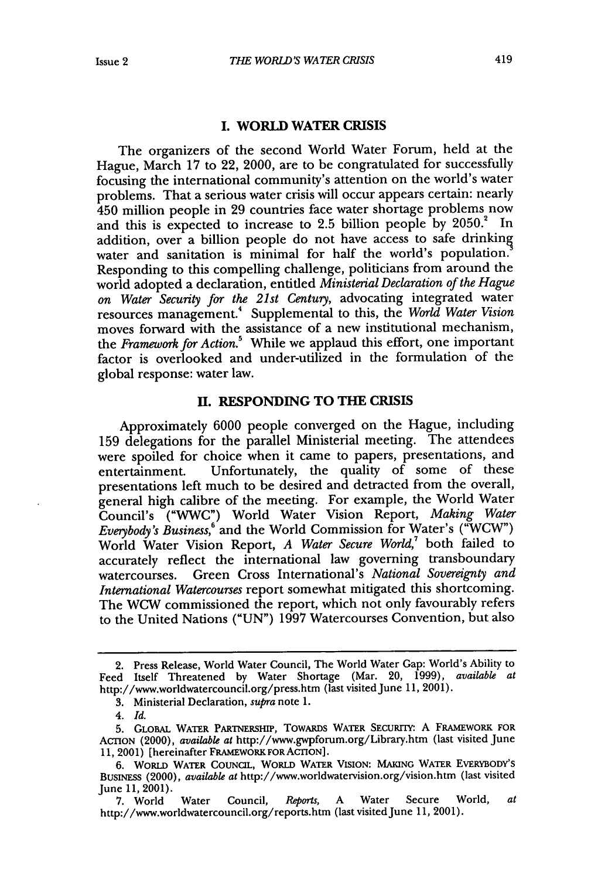## **I. WORLD WATER CRISIS**

The organizers of the second World Water Forum, held at the Hague, March 17 to 22, 2000, are to be congratulated for successfully focusing the international community's attention on the world's water problems. That a serious water crisis will occur appears certain: nearly 450 million people in 29 countries face water shortage problems now and this is expected to increase to 2.5 billion people by 2050.<sup>2</sup> In addition, over a billion people do not have access to safe drinking water and sanitation is minimal for half the world's population. Responding to this compelling challenge, politicians from around the world adopted a declaration, entitled *Ministerial Declaration of the Hague on Water Security for the 21st Century,* advocating integrated water resources management. Supplemental to this, the *World Water Vision* moves forward with the assistance of a new institutional mechanism, the *Framework for Action.5* While we applaud this effort, one important factor is overlooked and under-utilized in the formulation of the global response: water law.

#### **H. RESPONDING TO THE** CRISIS

Approximately 6000 people converged on the Hague, including **159** delegations for the parallel Ministerial meeting. The attendees were spoiled for choice when it came to papers, presentations, and entertainment. Unfortunately, the quality of some of these presentations left much to be desired and detracted from the overall, general high calibre of the meeting. For example, the World Water Council's ("WWC") World Water Vision Report, *Making Water Everybody's Business,'* and the World Commission for Water's ("WCW") World Water Vision Report, *A Water Secure World,7* both failed to accurately reflect the international law governing transboundary watercourses. Green Cross International's *National Sovereignty and International Watercourses* report somewhat mitigated this shortcoming. The WCW commissioned the report, which not only favourably refers to the United Nations ("UN") 1997 Watercourses Convention, but also

<sup>2.</sup> Press Release, World Water Council, The World Water Gap: World's Ability to Feed Itself Threatened by Water Shortage (Mar. 20, 1999), *available at* http://www.worldwatercouncil.org/press.htm (last visited June 11, 2001).

**<sup>3.</sup>** Ministerial Declaration, *supra* note 1.

*<sup>4.</sup> Id.*

**<sup>5.</sup> GLOBAL** WATER PARTNERSHIP, TOWARDS WATER SECURrIY: A FRAMEWORK FOR ACTION (2000), *available at* http://www.gwpforum.org/Library.htm (last visited June 11, 2001) [hereinafter FRAMEWORK FOR ACTION].

**<sup>6.</sup>** WORLD WATER COUNCIL, WORLD WATER VISION: MAKING WATER EvERYBODY'S BUSINESS (2000), *available at* http://www.worldwatervision.org/vision.htm (last visited June 11, 2001).

<sup>7.</sup> World Water Council, *Reports,* A Water Secure World, *at* http://www.worldwatercouncil.org/reports.htm (last visited June 11, 2001).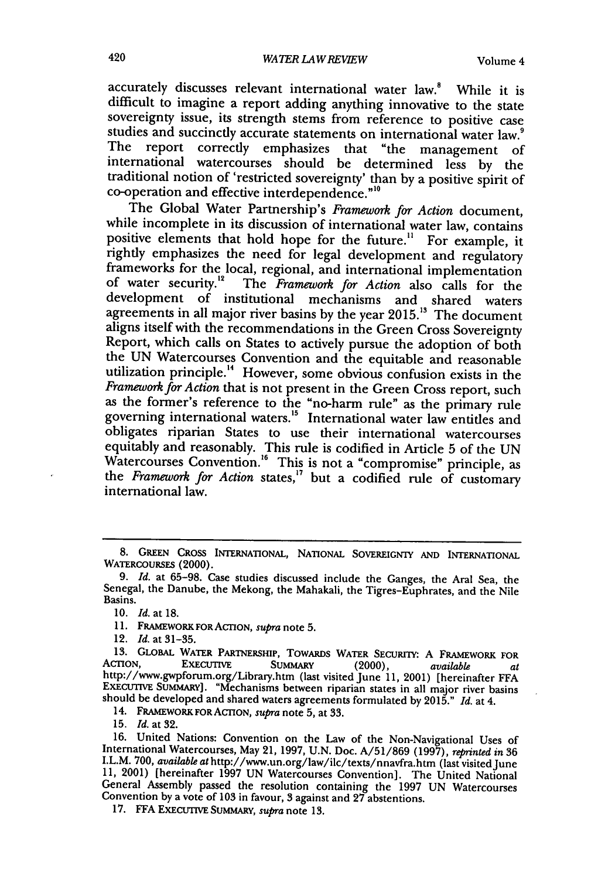accurately discusses relevant international water law.<sup>8</sup> While it is difficult to imagine a report adding anything innovative to the state sovereignty issue, its strength stems from reference to positive case studies and succinctly accurate statements on international water law.<sup>9</sup> The report correctly emphasizes that "the management of international watercourses should be determined less by the traditional notion of 'restricted sovereignty' than **by** a positive spirit of co-operation and effective interdependence."<sup>10</sup>

The Global Water Partnership's *Framework for Action* document, while incomplete in its discussion of international water law, contains positive elements that hold hope for the future." For example, it ightly emphasizes the need for legal development and regulatory frameworks for the local, regional, and international implementation<br>of water security.<sup>12</sup> The *Framework for Action* also calls for the development of institutional mechanisms and shared waters agreements in all major river basins **by** the year **2015."** The document aligns itself with the recommendations in the Green Cross Sovereignty Report, which calls on States to actively pursue the adoption of both the **UN** Watercourses Convention and the equitable and reasonable utilization principle. 4 However, some obvious confusion exists in the *Framework for Action* that is not present in the Green Cross report, such as the former's reference to the "no-harm rule" as the primary rule governing international waters.<sup>15</sup> International water law entitles and obligates riparian States to use their international watercourses equitably and reasonably. This rule is codified in Article **5** of the **UN** Watercourses Convention.<sup>16</sup> This is not a "compromise" principle, as the *Framework for Action* states," but a codified rule of customary international law.

12. *Id.* at **31-35.**

14. FRAMEWORK FOR ACTON, *supra* note 5, at 33.

**15.** *Id.* at 32.

**<sup>8.</sup> GREEN** CROSS INTERNATIONAL, NATIONAL SOVEREIGNTY **AND** INTERNATIONAL WATERcOURSEs (2000).

**<sup>9.</sup>** *Id.* at **65-98.** Case studies discussed include the Ganges, the Aral Sea, the Senegal, the Danube, the Mekong, the Mahakali, the Tigres-Euphrates, and the Nile Basins.

**<sup>10.</sup>** *Id.* at **18.**

<sup>11.</sup> **FRAMEWORK FOR ACTION**, *supra* note 5.

<sup>13.</sup> GLOBAL WATER PARTNERSHIP, TOWARDS WATER SECURITY: A FRAMEWORK FOR<br>ACTION, EXECUTIVE SUMMARY (2000), available at<br>http://www.gwpforum.org/Library.htm (last visited June 11, 2001) [hereinafter FFA ExEcUrIvE SuMMARY]. "Mechanisms between riparian states in all major river basins should be developed and shared waters agreements formulated by 2015." *Id.* at 4.

<sup>16.</sup> United Nations: Convention on the Law of the Non-Navigational Uses of International Watercourses, May 21, 1997, U.N. Doc. A/51/869 (1997), *reprinted in* <sup>36</sup> I.L.M. **700,** *available at* http://www.un.org/law/ilc/texts/nnavfra.htm (last visited June 11, 2001) [hereinafter 1997 UN Watercourses Convention]. The United National General Assembly passed the resolution containing the 1997 UN Watercourses Convention by a vote of 103 in favour, 3 against and 27 abstentions.

<sup>17.</sup> FFA ExEcurnvE SUMMARY, *supra* note 13.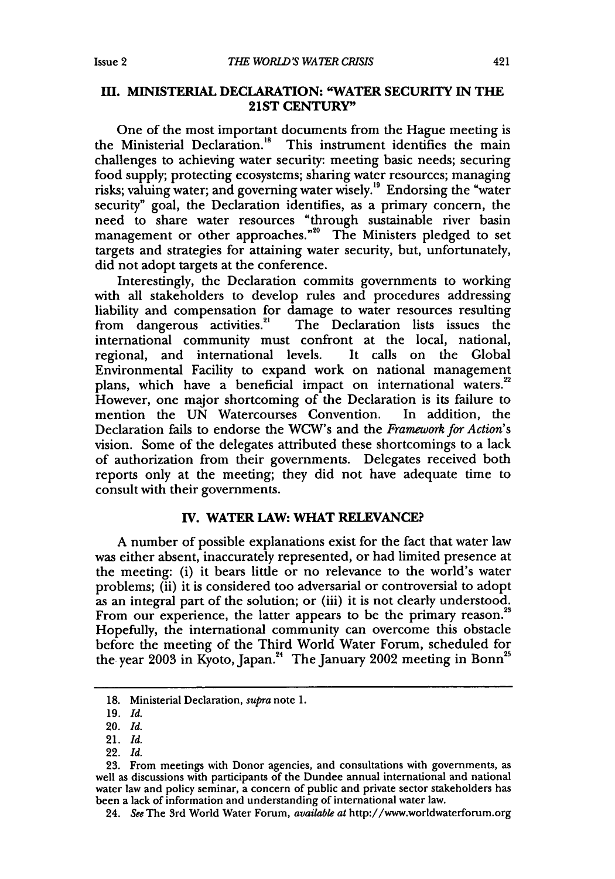#### **III. MINISTERIAL DECLARATION: "WATER SECURITY IN THE 21ST CENTURY"**

One of the most important documents from the Hague meeting is the Ministerial Declaration.<sup>18</sup> This instrument identifies the main challenges to achieving water security: meeting basic needs; securing food supply; protecting ecosystems; sharing water resources; managing risks; valuing water; and governing water wisely." Endorsing the "water security" goal, the Declaration identifies, as a primary concern, the need to share water resources "through sustainable river basin management or other approaches."<sup>20</sup> The Ministers pledged to set targets and strategies for attaining water security, but, unfortunately, did not adopt targets at the conference.

Interestingly, the Declaration commits governments to working with all stakeholders to develop rules and procedures addressing liability and compensation for damage to water resources resulting from dangerous activities.<sup>21</sup> The Declaration lists issues the international community must confront at the local, national, regional, and international levels. It calls on the Global Environmental Facility to expand work on national management plans, which have a beneficial impact on international waters. However, one major shortcoming of the Declaration is its failure to mention the UN Watercourses Convention. In addition, the Declaration fails to endorse the WCW's and the *Framework for Action's* vision. Some of the delegates attributed these shortcomings to a lack of authorization from their governments. Delegates received both reports only at the meeting; they did not have adequate time to consult with their governments.

### **IV.** WATER LAW: WHAT **RELEVANCE?**

A number of possible explanations exist for the fact that water law was either absent, inaccurately represented, or had limited presence at the meeting: (i) it bears little or no relevance to the world's water problems; (ii) it is considered too adversarial or controversial to adopt as an integral part of the solution; or (iii) it is not clearly understood. From our experience, the latter appears to be the primary reason.<sup>23</sup> Hopefully, the international community can overcome this obstacle before the meeting of the Third World Water Forum, scheduled for<br>the year 2003 in Kyoto, Japan.<sup>24</sup> The January 2002 meeting in Bonn<sup>25</sup>

22. *Id.*

<sup>18.</sup> Ministerial Declaration, *supra* note 1.

<sup>19.</sup> *Id.*

<sup>20.</sup> *Id.*

<sup>21.</sup> *Id.*

**<sup>23.</sup>** From meetings with Donor agencies, and consultations with governments, as well as discussions with participants of the Dundee annual international and national water law and policy seminar, a concern of public and private sector stakeholders has been a lack of information and understanding of international water law.

<sup>24.</sup> *See* The 3rd World Water Forum, *available at* http://www.worldwaterforum.org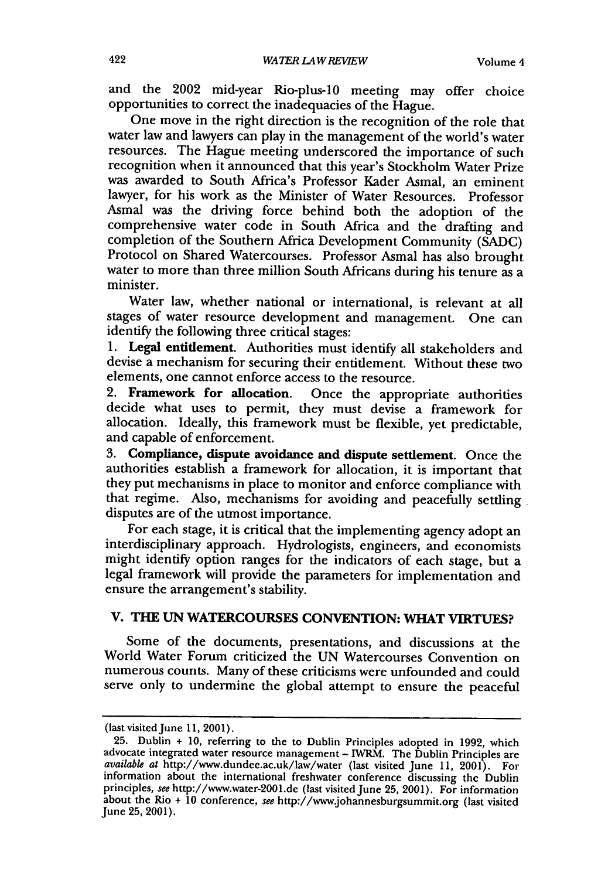and the 2002 mid-year Rio-plus-10 meeting may offer choice opportunities to correct the inadequacies of the Hague.

One move in the right direction is the recognition of the role that water law and lawyers can play in the management of the world's water resources. The Hague meeting underscored the importance of such recognition when it announced that this year's Stockholm Water Prize was awarded to South Africa's Professor Kader Asmal, an eminent lawyer, for his work as the Minister of Water Resources. Professor Asmal was the driving force behind both the adoption of the comprehensive water code in South Africa and the drafting and completion of the Southern Africa Development Community (SADC) Protocol on Shared Watercourses. Professor Asmal has also brought water to more than three million South Africans during his tenure as a minister.

Water law, whether national or international, is relevant at all stages of water resource development and management. One can identify the following three critical stages:

1. Legal entitlement. Authorities must identify all stakeholders and devise a mechanism for securing their entitlement. Without these two elements, one cannot enforce access to the resource.

2. Framework for allocation. Once the appropriate authorities decide what uses to permit, they must devise a framework for allocation. Ideally, this framework must be flexible, yet predictable, and capable of enforcement.

3. Compliance, dispute avoidance and dispute settlement. Once the authorities establish a framework for allocation, it is important that they put mechanisms in place to monitor and enforce compliance with that regime. Also, mechanisms for avoiding and peacefully settling. disputes are of the utmost importance.

For each stage, it is critical that the implementing agency adopt an interdisciplinary approach. Hydrologists, engineers, and economists might identify option ranges for the indicators of each stage, but a legal framework will provide the parameters for implementation and ensure the arrangement's stability.

## **V. THE UN** WATERCOURSES **CONVENTION: WHAT VIRTUES?**

Some of the documents, presentations, and discussions at the World Water Forum criticized the UN Watercourses Convention on numerous counts. Many of these criticisms were unfounded and could serve only to undermine the global attempt to ensure the peaceful

<sup>(</sup>last visited June 11, 2001).

<sup>25.</sup> Dublin + 10, referring to the to Dublin Principles adopted in 1992, which advocate integrated water resource management - IWRM. The Dublin Principles are *available at* http://www.dundee.ac.uk/law/water (last visited June 11, 2001). For information about the international freshwater conference discussing the Dublin principles, see http://www.water-2001.de (last visited June 25, 2001). For information about the Rio + 10 conference, *see* http://www.johannesburgsummit.org (last visited June 25, 2001).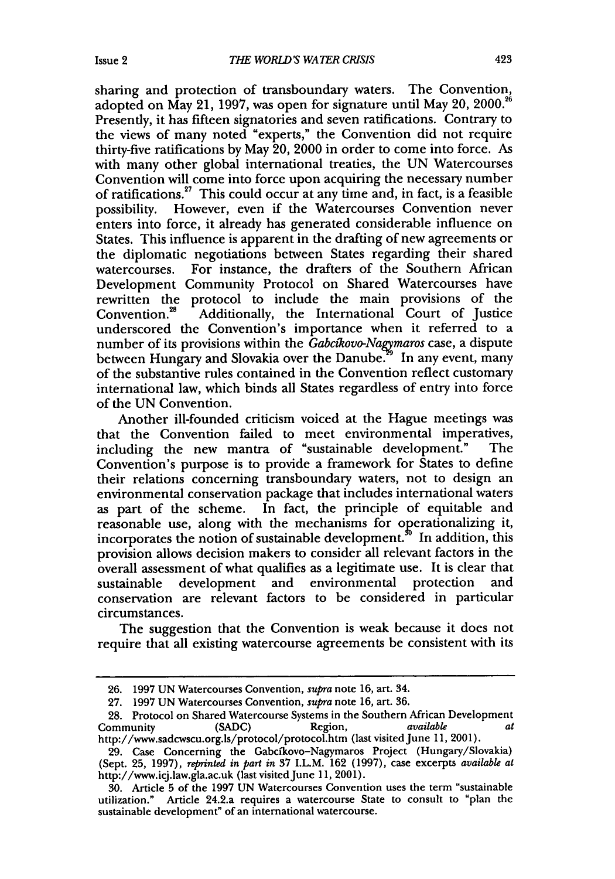sharing and protection of transboundary waters. The Convention, adopted on May 21, 1997, was open for signature until May 20, 2000.<sup>86</sup> Presently, it has fifteen signatories and seven ratifications. Contrary to the views of many noted "experts," the Convention did not require thirty-five ratifications **by** May 20, 2000 in order to come into force. As with many other global international treaties, the **UN** Watercourses Convention will come into force upon acquiring the necessary number of ratifications.<sup>27</sup> This could occur at any time and, in fact, is a feasible possibility. However, even if the Watercourses Convention never enters into force, it already has generated considerable influence on States. This influence is apparent in the drafting of new agreements or the diplomatic negotiations between States regarding their shared watercourses. For instance, the drafters of the Southern African Development Community Protocol on Shared Watercourses have rewritten the protocol to include the main provisions of the Convention.<sup>28</sup> Additionally, the International Court of Justice Additionally, the International Court of Justice underscored the Convention's importance when it referred to a number of its provisions within the *Gabcikovo-Nagymaros* case, a dispute between Hungary and Slovakia over the Danube. In any event, many of the substantive rules contained in the Convention reflect customary international law, which binds all States regardless of entry into force of the **UN** Convention.

Another ill-founded criticism voiced at the Hague meetings was that the Convention failed to meet environmental imperatives,<br>including the new mantra of "sustainable development." The including the new mantra of "sustainable development." Convention's purpose is to provide a framework for States to define their relations concerning transboundary waters, not to design an environmental conservation package that includes international waters as part of the scheme. In fact, the principle of equitable and reasonable use, along with the mechanisms for operationalizing it, incorporates the notion of sustainable development.<sup>30</sup> In addition, this provision allows decision makers to consider all relevant factors in the overall assessment of what qualifies as a legitimate use. It is clear that sustainable development and environmental protection and conservation are relevant factors to be considered in particular circumstances.

The suggestion that the Convention is weak because it does not require that all existing watercourse agreements be consistent with its

**<sup>26. 1997</sup> UN** Watercourses Convention, *supra* note **16,** art. 34.

**<sup>27. 1997</sup> UN** Watercourses Convention, *supra* note **16,** art. **36.**

**<sup>28.</sup>** Protocol on Shared Watercourse Systems in the Southern African Development Community **(SADC)** Region, *available at* http://www.sadcwscu.org.ls/protocol/protocol.htm (last visited June **11,** 2001).

**<sup>29.</sup>** Case Concerning the Gabcfkovo-Nagymaros Project (Hungary/Slovakia) (Sept. **25, 1997),** *reprinted in part in* **37** I.L.M. **162 (1997),** case excerpts *available at* http://www.icj.law.gla.ac.uk (last visited June 11, 2001).

**<sup>30.</sup>** Article **5** of the **1997 UN** Watercourses Convention uses the term "sustainable utilization." Article 24.2.a requires a watercourse State to consult to "plan the sustainable development" of an international watercourse.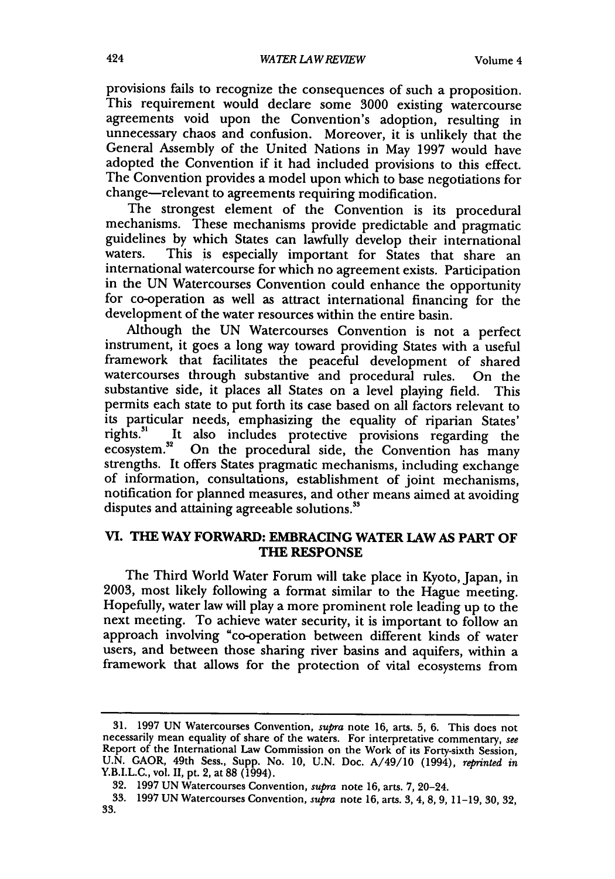provisions fails to recognize the consequences of such a proposition. This requirement would declare some 3000 existing watercourse agreements void upon the Convention's adoption, resulting in unnecessary chaos and confusion. Moreover, it is unlikely that the General Assembly of the United Nations in May 1997 would have adopted the Convention if it had included provisions to this effect. The Convention provides a model upon which to base negotiations for change-relevant to agreements requiring modification.

The strongest element of the Convention is its procedural mechanisms. These mechanisms provide predictable and pragmatic guidelines by which States can lawfully develop their international waters. This is especially important for States that share an This is especially important for States that share an international watercourse for which no agreement exists. Participation in the UN Watercourses Convention could enhance the opportunity for co-operation as well as attract international financing for the development of the water resources within the entire basin.

Although the UN Watercourses Convention is not a perfect instrument, it goes a long way toward providing States with a useful framework that facilitates the peaceful development of shared watercourses through substantive and procedural rules. On the substantive side, it places all States on a level playing field. This permits each state to put forth its case based on all factors relevant to its particular needs, emphasizing the equality of riparian States' rights.<sup>31</sup> It also includes protective provisions regarding the It also includes protective provisions regarding the ecosystem.<sup>32</sup> On the procedural side, the Convention has many strengths. It offers States pragmatic mechanisms, including exchange of information, consultations, establishment of joint mechanisms, notification for planned measures, and other means aimed at avoiding disputes and attaining agreeable solutions.<sup>33</sup>

### **VI. THE WAY FORWARD: EMBRACING WATER LAW AS PART OF THE RESPONSE**

The Third World Water Forum will take place in Kyoto, Japan, in 2003, most likely following a format similar to the Hague meeting. Hopefully, water law will play a more prominent role leading up to the next meeting. To achieve water security, it is important to follow an approach involving "co-operation between different kinds of water users, and between those sharing river basins and aquifers, within a framework that allows for the protection of vital ecosystems from

<sup>31. 1997</sup> UN Watercourses Convention, *supra* note 16, arts. 5, 6. This does not necessarily mean equality of share of the waters. For interpretative commentary, see Report of the International Law Commission on the Work of its Forty-sixth Session, U.N. GAOR, 49th Sess., Supp. No. 10, U.N. Doc. A/49/10 (1994), *reprinted in* Y.B.I.L.C., vol. II, pt. 2, at 88 (1994).

<sup>32. 1997</sup> UN Watercourses Convention, *supra* note 16, arts. 7, 20-24.

<sup>33. 1997</sup> UN Watercourses Convention, *supra* note 16, arts. 3,4,8,9, 11-19, 30, 32, 33.